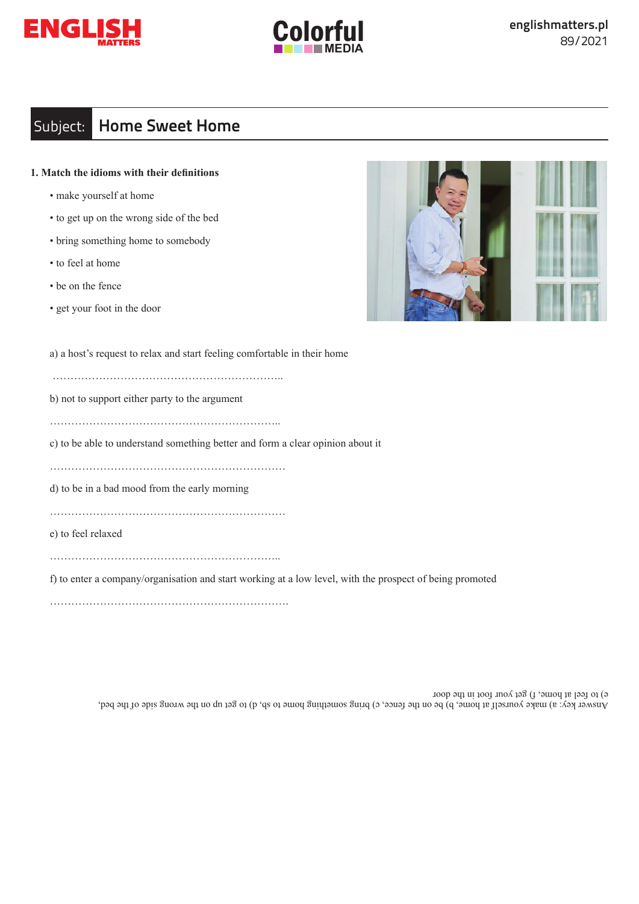



# Subject: **Home Sweet Home**

## **1. Match the idioms with their definitions**

- make yourself at home
- to get up on the wrong side of the bed
- bring something home to somebody
- to feel at home
- be on the fence
- get your foot in the door

a) a host's request to relax and start feeling comfortable in their home

………………………………………………………..

b) not to support either party to the argument

………………………………………………………..

c) to be able to understand something better and form a clear opinion about it

…………………………………………………………

d) to be in a bad mood from the early morning

…………………………………………………………

e) to feel relaxed

………………………………………………………..

f) to enter a company/organisation and start working at a low level, with the prospect of being promoted

………………………………………………………….

Answer key: a) make yourself at home, b) be on the fence, c) bring something home to sb, d) to get up on the me bed, ded, and the bed, e) to feel at home, f) get your foot in the door

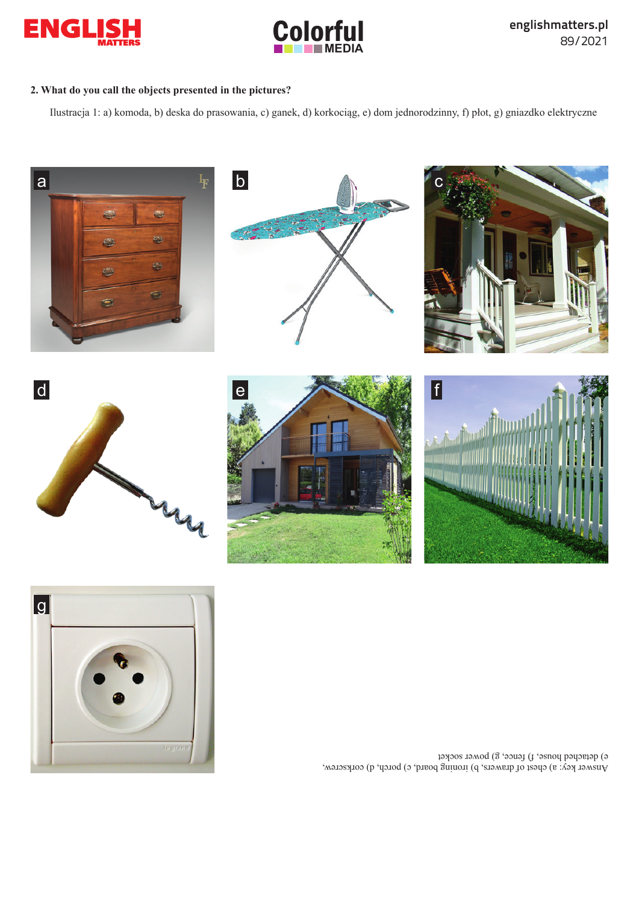



## **2. What do you call the objects presented in the pictures?**

Ilustracja 1: a) komoda, b) deska do prasowania, c) ganek, d) korkociąg, e) dom jednorodzinny, f) płot, g) gniazdko elektryczne





Answer key: a) chest of drawers, b) ironing board, c) porch, d) corkscrew, e) detached house, f) fence, g) power socket